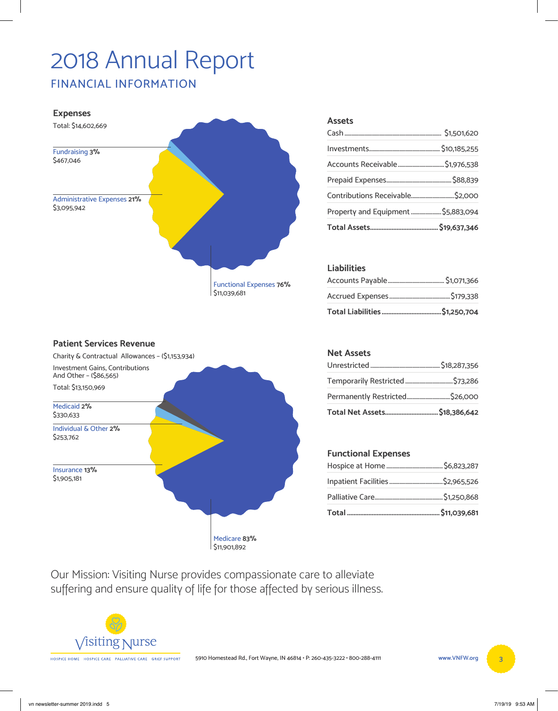# 2018 Annual Report

**FINANCIAL INFORMATION** 



#### **Assets**

| Propertγ and Equipment  \$5,883,094 |  |
|-------------------------------------|--|
|                                     |  |
|                                     |  |
|                                     |  |
|                                     |  |
|                                     |  |

#### **Liabilities**



#### **Net Assets**

### **Functional Expenses**

Our Mission: Visiting Nurse provides compassionate care to alleviate suffering and ensure quality of life for those affected by serious illness.

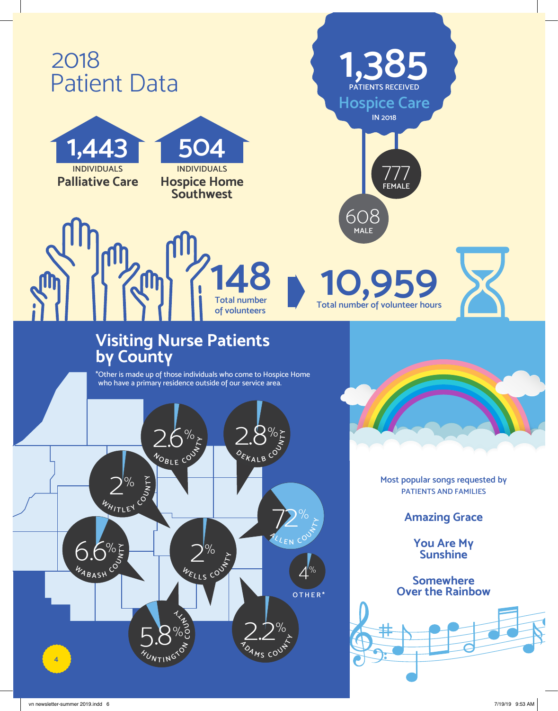